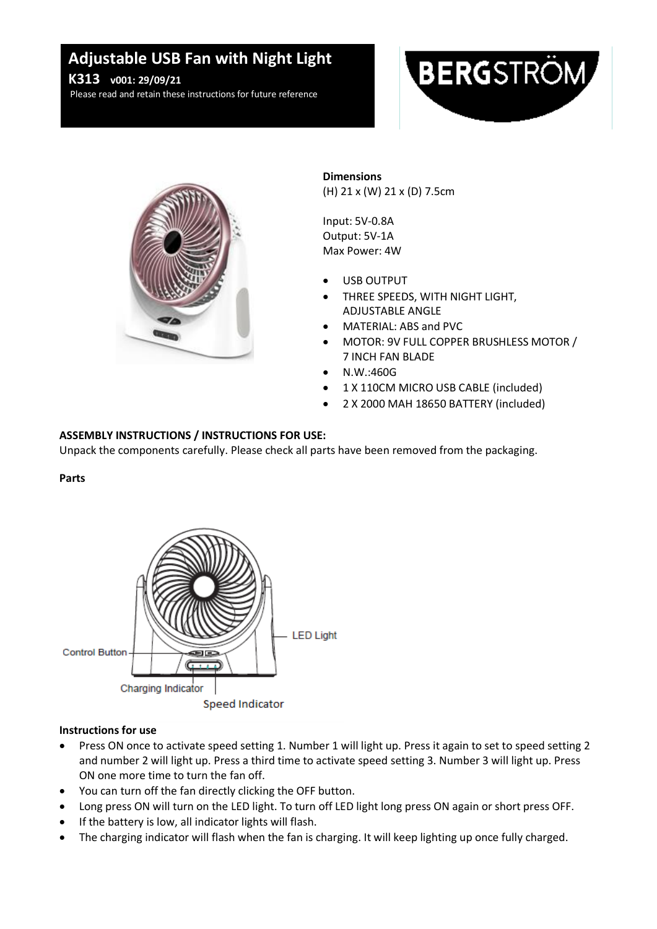# **v01: Adjustable USB Fan with Night Light**

**K313** *v001: 29/09/21* 

Please read and retain these instructions for future reference





**Dimensions** (H) 21 x (W) 21 x (D) 7.5cm

Input: 5V-0.8A Output: 5V-1A Max Power: 4W

- USB OUTPUT
- THREE SPEEDS, WITH NIGHT LIGHT, ADJUSTABLE ANGLE
- MATERIAL: ABS and PVC
- MOTOR: 9V FULL COPPER BRUSHLESS MOTOR / 7 INCH FAN BLADE
- N.W.:460G
- 1 X 110CM MICRO USB CABLE (included)
- 2 X 2000 MAH 18650 BATTERY (included)

# **ASSEMBLY INSTRUCTIONS / INSTRUCTIONS FOR USE:**

Unpack the components carefully. Please check all parts have been removed from the packaging.

# **Parts**



# **Instructions for use**

- Press ON once to activate speed setting 1. Number 1 will light up. Press it again to set to speed setting 2 and number 2 will light up. Press a third time to activate speed setting 3. Number 3 will light up. Press ON one more time to turn the fan off.
- You can turn off the fan directly clicking the OFF button.
- Long press ON will turn on the LED light. To turn off LED light long press ON again or short press OFF.
- If the battery is low, all indicator lights will flash.
- The charging indicator will flash when the fan is charging. It will keep lighting up once fully charged.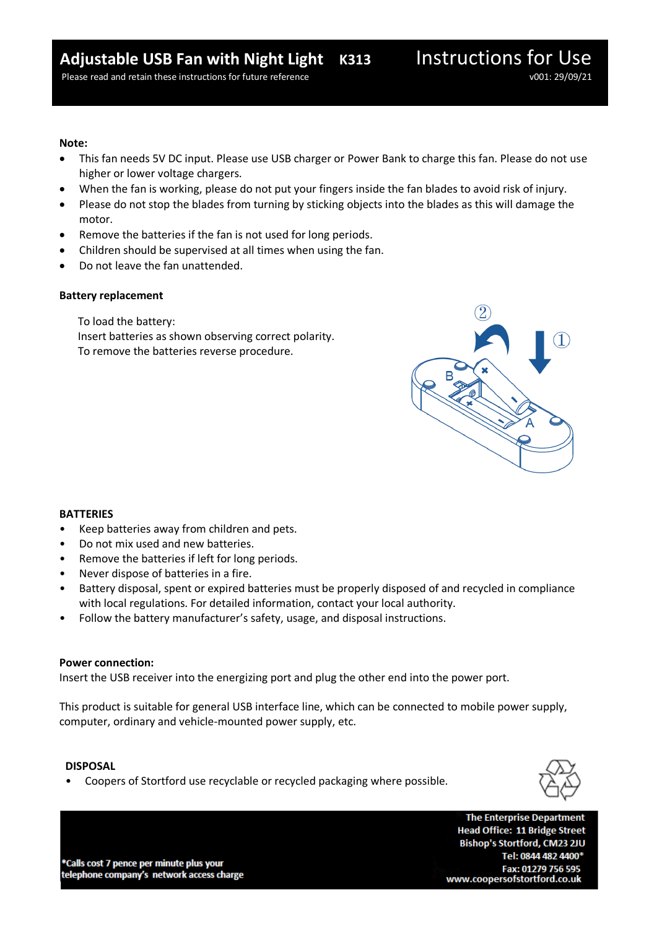#### **Note:**

- This fan needs 5V DC input. Please use USB charger or Power Bank to charge this fan. Please do not use higher or lower voltage chargers.
- When the fan is working, please do not put your fingers inside the fan blades to avoid risk of injury.
- Please do not stop the blades from turning by sticking objects into the blades as this will damage the motor.
- Remove the batteries if the fan is not used for long periods.
- Children should be supervised at all times when using the fan.
- Do not leave the fan unattended.

# **Battery replacement**

To load the battery: Insert batteries as shown observing correct polarity. To remove the batteries reverse procedure.



# **BATTERIES**

- Keep batteries away from children and pets.
- Do not mix used and new batteries.
- Remove the batteries if left for long periods.
- Never dispose of batteries in a fire.
- Battery disposal, spent or expired batteries must be properly disposed of and recycled in compliance with local regulations. For detailed information, contact your local authority.
- Follow the battery manufacturer's safety, usage, and disposal instructions.

# **Power connection:**

Insert the USB receiver into the energizing port and plug the other end into the power port.

This product is suitable for general USB interface line, which can be connected to mobile power supply, computer, ordinary and vehicle-mounted power supply, etc.

# **DISPOSAL**

• Coopers of Stortford use recyclable or recycled packaging where possible.



\*Calls cost 7 pence per minute plus your telephone company's network access charge

**The Enterprise Department Head Office: 11 Bridge Street** Bishop's Stortford, CM23 2JU Tel: 0844 482 4400\* Fax: 01279 756 595 www.coopersofstortford.co.uk